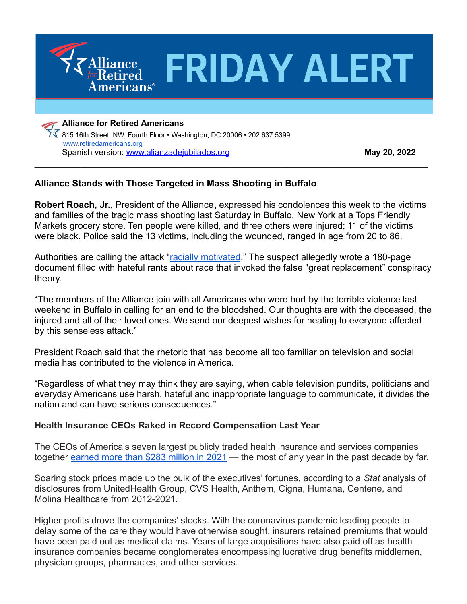

[www.retiredamericans.org](http://www.retiredamericans.org) Spanish version: [www.alianzadejubilados.org](http://www.alianzadejubilados.org) **May 20, 2022**

## **Alliance Stands with Those Targeted in Mass Shooting in Buffalo**

**Robert Roach, Jr.**, President of the Alliance**,** expressed his condolences this week to the victims and families of the tragic mass shooting last Saturday in Buffalo, New York at a Tops Friendly Markets grocery store. Ten people were killed, and three others were injured; 11 of the victims were black. Police said the 13 victims, including the wounded, ranged in age from 20 to 86.

 $\_$  , and the contribution of the contribution of the contribution of the contribution of  $\mathcal{L}_\text{max}$ 

Authorities are calling the attack "[racially motivated](https://www.npr.org/2022/05/16/1099034094/what-is-the-great-replacement-theory)." The suspect allegedly wrote a 180-page document filled with hateful rants about race that invoked the false "great replacement" conspiracy theory.

"The members of the Alliance join with all Americans who were hurt by the terrible violence last weekend in Buffalo in calling for an end to the bloodshed. Our thoughts are with the deceased, the injured and all of their loved ones. We send our deepest wishes for healing to everyone affected by this senseless attack."

President Roach said that the rhetoric that has become all too familiar on television and social media has contributed to the violence in America.

"Regardless of what they may think they are saying, when cable television pundits, politicians and everyday Americans use harsh, hateful and inappropriate language to communicate, it divides the nation and can have serious consequences."

## **Health Insurance CEOs Raked in Record Compensation Last Year**

The CEOs of America's seven largest publicly traded health insurance and services companies together [earned more than \\$283 million in 2021](https://www.statnews.com/2022/05/12/health-insurance-ceos-raked-in-record-pay-during-covid/) — the most of any year in the past decade by far.

Soaring stock prices made up the bulk of the executives' fortunes, according to a *Stat* analysis of disclosures from UnitedHealth Group, CVS Health, Anthem, Cigna, Humana, Centene, and Molina Healthcare from 2012-2021.

Higher profits drove the companies' stocks. With the coronavirus pandemic leading people to delay some of the care they would have otherwise sought, insurers retained premiums that would have been paid out as medical claims. Years of large acquisitions have also paid off as health insurance companies became conglomerates encompassing lucrative drug benefits middlemen, physician groups, pharmacies, and other services.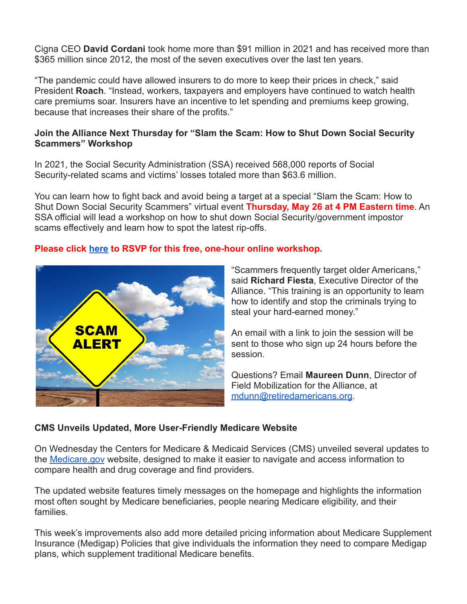Cigna CEO **David Cordani** took home more than \$91 million in 2021 and has received more than \$365 million since 2012, the most of the seven executives over the last ten years.

"The pandemic could have allowed insurers to do more to keep their prices in check," said President **Roach**. "Instead, workers, taxpayers and employers have continued to watch health care premiums soar. Insurers have an incentive to let spending and premiums keep growing, because that increases their share of the profits."

### **Join the Alliance Next Thursday for "Slam the Scam: How to Shut Down Social Security Scammers" Workshop**

In 2021, the Social Security Administration (SSA) received 568,000 reports of Social Security-related scams and victims' losses totaled more than \$63.6 million.

You can learn how to fight back and avoid being a target at a special "Slam the Scam: How to Shut Down Social Security Scammers" virtual event **Thursday, May 26 at 4 PM Eastern time**. An SSA official will lead a workshop on how to shut down Social Security/government impostor scams effectively and learn how to spot the latest rip-offs.

### **Please click [here](https://retiredamericans-org.zoom.us/meeting/register/tZUvce2qrTsqHdCATKJtzGywRe9saojCtCXc) to RSVP for this free, one-hour online workshop.**



"Scammers frequently target older Americans," said **Richard Fiesta**, Executive Director of the Alliance. "This training is an opportunity to learn how to identify and stop the criminals trying to steal your hard-earned money."

An email with a link to join the session will be sent to those who sign up 24 hours before the session.

Questions? Email **Maureen Dunn**, Director of Field Mobilization for the Alliance, at [mdunn@retiredamericans.org](mailto:mdunn@retiredamericans.org).

## **CMS Unveils Updated, More User-Friendly Medicare Website**

On Wednesday the Centers for Medicare & Medicaid Services (CMS) unveiled several updates to the [Medicare.gov](http://www.medicare.gov) website, designed to make it easier to navigate and access information to compare health and drug coverage and find providers.

The updated website features timely messages on the homepage and highlights the information most often sought by Medicare beneficiaries, people nearing Medicare eligibility, and their families.

This week's improvements also add more detailed pricing information about Medicare Supplement Insurance (Medigap) Policies that give individuals the information they need to compare Medigap plans, which supplement traditional Medicare benefits.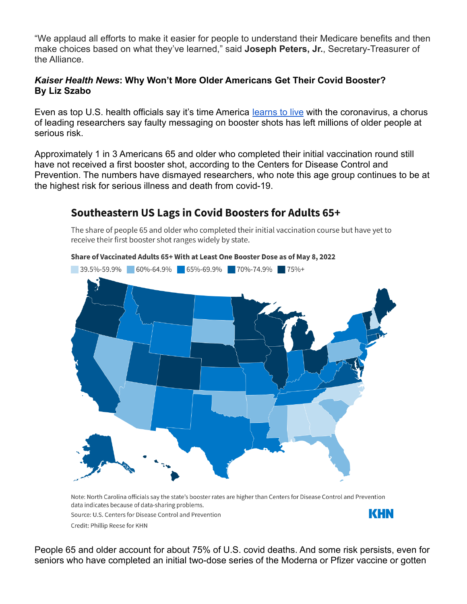"We applaud all efforts to make it easier for people to understand their Medicare benefits and then make choices based on what they've learned," said **Joseph Peters, Jr.**, Secretary-Treasurer of the Alliance.

#### *Kaiser Health News***: Why Won't More Older Americans Get Their Covid Booster? By Liz Szabo**

Even as top U.S. health officials say it's time America [learns to live](https://khn.org/news/article/watch-californias-top-health-adviser-on-learning-to-live-with-covid/) with the coronavirus, a chorus of leading researchers say faulty messaging on booster shots has left millions of older people at serious risk.

Approximately 1 in 3 Americans 65 and older who completed their initial vaccination round still have not received a first booster shot, according to the Centers for Disease Control and Prevention. The numbers have dismayed researchers, who note this age group continues to be at the highest risk for serious illness and death from covid-19.

# Southeastern US Lags in Covid Boosters for Adults 65+

The share of people 65 and older who completed their initial vaccination course but have yet to receive their first booster shot ranges widely by state.



Note: North Carolina officials say the state's booster rates are higher than Centers for Disease Control and Prevention data indicates because of data-sharing problems. KHN Source: U.S. Centers for Disease Control and Prevention Credit: Phillip Reese for KHN

People 65 and older account for about 75% of U.S. covid deaths. And some risk persists, even for seniors who have completed an initial two-dose series of the Moderna or Pfizer vaccine or gotten